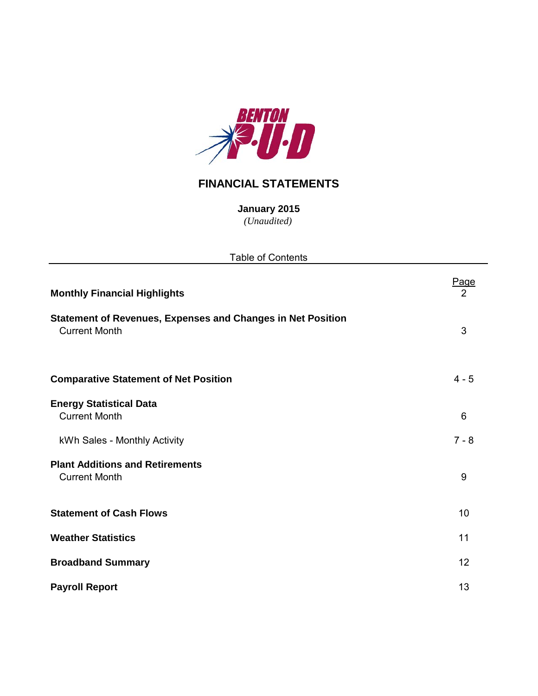

## **FINANCIAL STATEMENTS**

**January 2015** *(Unaudited)*

| <b>Table of Contents</b>                                                                   |           |
|--------------------------------------------------------------------------------------------|-----------|
| <b>Monthly Financial Highlights</b>                                                        | Page<br>2 |
| <b>Statement of Revenues, Expenses and Changes in Net Position</b><br><b>Current Month</b> | 3         |
| <b>Comparative Statement of Net Position</b>                                               | $4 - 5$   |
| <b>Energy Statistical Data</b><br><b>Current Month</b>                                     | 6         |
| kWh Sales - Monthly Activity                                                               | $7 - 8$   |
| <b>Plant Additions and Retirements</b><br><b>Current Month</b>                             | 9         |
| <b>Statement of Cash Flows</b>                                                             | 10        |
| <b>Weather Statistics</b>                                                                  | 11        |
| <b>Broadband Summary</b>                                                                   | 12        |
| <b>Payroll Report</b>                                                                      | 13        |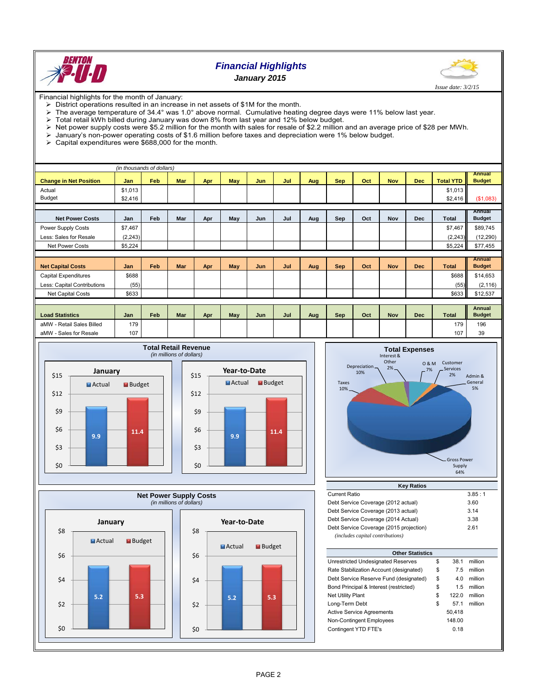

### *Financial Highlights January 2015*



Financial highlights for the month of January:

- $\triangleright$  District operations resulted in an increase in net assets of \$1M for the month.
- The average temperature of 34.4° was 1.0° above normal. Cumulative heating degree days were 11% below last year.<br>> Total retail kWh billed during January was down 8% from last year and 12% below budget.
- 
- $\triangleright$  Total retail kWh billed during January was down 8% from last year and 12% below budget.<br> $\triangleright$  Net power supply costs were \$5.2 million for the month with sales for resale of \$2.2 million Net power supply costs were \$5.2 million for the month with sales for resale of \$2.2 million and an average price of \$28 per MWh.
- January's non-power operating costs of \$1.6 million before taxes and depreciation were 1% below budget.
- $\geq$  Capital expenditures were \$688,000 for the month.

|                               | (in thousands of dollars) |     |            |     |     |            |     |     |            |     |            |            |                  |                                |
|-------------------------------|---------------------------|-----|------------|-----|-----|------------|-----|-----|------------|-----|------------|------------|------------------|--------------------------------|
| <b>Change in Net Position</b> | Jan                       | Feb | <b>Mar</b> | Apr | May | <b>Jun</b> | Jul | Aug | <b>Sep</b> | Oct | <b>Nov</b> | <b>Dec</b> | <b>Total YTD</b> | <b>Annual</b><br><b>Budget</b> |
| Actual                        | \$1,013                   |     |            |     |     |            |     |     |            |     |            |            | \$1,013          |                                |
| <b>Budget</b>                 | \$2,416                   |     |            |     |     |            |     |     |            |     |            |            | \$2,416          | (\$1,083)                      |
|                               |                           |     |            |     |     |            |     |     |            |     |            |            |                  |                                |
| <b>Net Power Costs</b>        | Jan                       | Feb | Mar        | Apr | May | Jun        | Jul | Aug | Sep        | Oct | <b>Nov</b> | <b>Dec</b> | <b>Total</b>     | Annual<br><b>Budget</b>        |
| Power Supply Costs            | \$7,467                   |     |            |     |     |            |     |     |            |     |            |            | \$7,467          | \$89,745                       |
| Less: Sales for Resale        | (2, 243)                  |     |            |     |     |            |     |     |            |     |            |            | (2, 243)         | (12, 290)                      |
| Net Power Costs               | \$5,224                   |     |            |     |     |            |     |     |            |     |            |            | \$5,224          | \$77,455                       |
|                               |                           |     |            |     |     |            |     |     |            |     |            |            |                  |                                |
| <b>Net Capital Costs</b>      | Jan                       | Feb | <b>Mar</b> | Apr | May | Jun        | Jul | Aug | <b>Sep</b> | Oct | <b>Nov</b> | <b>Dec</b> | <b>Total</b>     | <b>Annual</b><br><b>Budget</b> |
| <b>Capital Expenditures</b>   | \$688                     |     |            |     |     |            |     |     |            |     |            |            | \$688            | \$14,653                       |
| Less: Capital Contributions   | (55)                      |     |            |     |     |            |     |     |            |     |            |            | (55)             | (2, 116)                       |
| Net Capital Costs             | \$633                     |     |            |     |     |            |     |     |            |     |            |            | \$633            | \$12,537                       |
|                               |                           |     |            |     |     |            |     |     |            |     |            |            |                  |                                |
| <b>Load Statistics</b>        | Jan                       | Feb | <b>Mar</b> | Apr | May | Jun        | Jul | Aug | <b>Sep</b> | Oct | <b>Nov</b> | <b>Dec</b> | <b>Total</b>     | <b>Annual</b><br><b>Budget</b> |
| aMW - Retail Sales Billed     | 179                       |     |            |     |     |            |     |     |            |     |            |            | 179              | 196                            |
| aMW - Sales for Resale        | 107                       |     |            |     |     |            |     |     |            |     |            |            | 107              | 39                             |







| <b>Current Ratio</b>                    | 3.85:1 |
|-----------------------------------------|--------|
| Debt Service Coverage (2012 actual)     | 3.60   |
| Debt Service Coverage (2013 actual)     | 3.14   |
| Debt Service Coverage (2014 Actual)     | 3.38   |
| Debt Service Coverage (2015 projection) | 2.61   |
| (includes capital contributions)        |        |

| <b>Other Statistics</b>                 |    |         |         |  |  |  |  |  |
|-----------------------------------------|----|---------|---------|--|--|--|--|--|
| Unrestricted Undesignated Reserves      | \$ | 38.1    | million |  |  |  |  |  |
| Rate Stabilization Account (designated) | \$ | 7.5     | million |  |  |  |  |  |
| Debt Service Reserve Fund (designated)  | \$ | 4.0     | million |  |  |  |  |  |
| Bond Principal & Interest (restricted)  | \$ | 1.5     | million |  |  |  |  |  |
| <b>Net Utility Plant</b>                | \$ | 122 $0$ | million |  |  |  |  |  |
| Long-Term Debt                          | \$ | 57 1    | million |  |  |  |  |  |
| <b>Active Service Agreements</b>        |    | 50,418  |         |  |  |  |  |  |
| Non-Contingent Employees                |    | 148.00  |         |  |  |  |  |  |
| Contingent YTD FTE's                    |    | 0.18    |         |  |  |  |  |  |
|                                         |    |         |         |  |  |  |  |  |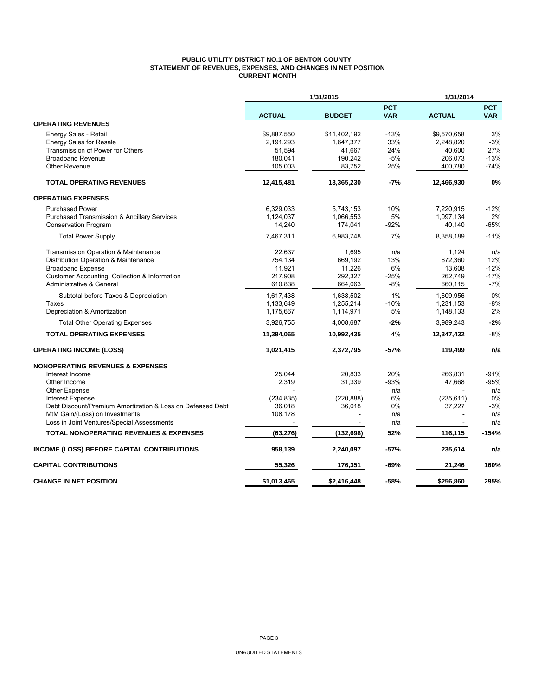#### **PUBLIC UTILITY DISTRICT NO.1 OF BENTON COUNTY STATEMENT OF REVENUES, EXPENSES, AND CHANGES IN NET POSITION CURRENT MONTH**

|                                                                              |               | 1/31/2015     |                          | 1/31/2014     |                          |
|------------------------------------------------------------------------------|---------------|---------------|--------------------------|---------------|--------------------------|
|                                                                              | <b>ACTUAL</b> | <b>BUDGET</b> | <b>PCT</b><br><b>VAR</b> | <b>ACTUAL</b> | <b>PCT</b><br><b>VAR</b> |
| <b>OPERATING REVENUES</b>                                                    |               |               |                          |               |                          |
| Energy Sales - Retail                                                        | \$9,887,550   | \$11,402,192  | $-13%$                   | \$9,570,658   | 3%                       |
| <b>Energy Sales for Resale</b>                                               | 2,191,293     | 1,647,377     | 33%                      | 2,248,820     | $-3%$                    |
| Transmission of Power for Others                                             | 51,594        | 41,667        | 24%                      | 40,600        | 27%                      |
| <b>Broadband Revenue</b>                                                     | 180,041       | 190,242       | $-5%$                    | 206,073       | $-13%$                   |
| <b>Other Revenue</b>                                                         | 105,003       | 83,752        | 25%                      | 400,780       | $-74%$                   |
| <b>TOTAL OPERATING REVENUES</b>                                              | 12,415,481    | 13,365,230    | $-7%$                    | 12,466,930    | 0%                       |
| <b>OPERATING EXPENSES</b>                                                    |               |               |                          |               |                          |
| <b>Purchased Power</b>                                                       | 6,329,033     | 5,743,153     | 10%                      | 7,220,915     | $-12%$                   |
| <b>Purchased Transmission &amp; Ancillary Services</b>                       | 1,124,037     | 1,066,553     | 5%                       | 1,097,134     | 2%                       |
| <b>Conservation Program</b>                                                  | 14,240        | 174,041       | -92%                     | 40,140        | -65%                     |
| <b>Total Power Supply</b>                                                    | 7,467,311     | 6,983,748     | 7%                       | 8,358,189     | $-11%$                   |
| <b>Transmission Operation &amp; Maintenance</b>                              | 22.637        | 1,695         | n/a                      | 1,124         | n/a                      |
| Distribution Operation & Maintenance                                         | 754,134       | 669,192       | 13%                      | 672,360       | 12%                      |
| <b>Broadband Expense</b>                                                     | 11,921        | 11,226        | 6%                       | 13,608        | $-12%$                   |
| Customer Accounting, Collection & Information                                | 217,908       | 292,327       | $-25%$                   | 262,749       | $-17%$                   |
| Administrative & General                                                     | 610,838       | 664,063       | $-8%$                    | 660,115       | $-7%$                    |
| Subtotal before Taxes & Depreciation                                         | 1,617,438     | 1,638,502     | $-1%$                    | 1,609,956     | 0%                       |
| Taxes                                                                        | 1,133,649     | 1,255,214     | $-10%$                   | 1,231,153     | -8%                      |
| Depreciation & Amortization                                                  | 1,175,667     | 1,114,971     | 5%                       | 1,148,133     | 2%                       |
| <b>Total Other Operating Expenses</b>                                        | 3,926,755     | 4,008,687     | $-2%$                    | 3,989,243     | $-2%$                    |
| <b>TOTAL OPERATING EXPENSES</b>                                              | 11,394,065    | 10,992,435    | 4%                       | 12,347,432    | $-8%$                    |
| <b>OPERATING INCOME (LOSS)</b>                                               | 1,021,415     | 2,372,795     | $-57%$                   | 119,499       | n/a                      |
| <b>NONOPERATING REVENUES &amp; EXPENSES</b>                                  |               |               |                          |               |                          |
| Interest Income                                                              | 25,044        | 20,833        | 20%                      | 266,831       | -91%                     |
| Other Income                                                                 | 2,319         | 31,339        | $-93%$                   | 47,668        | -95%                     |
| <b>Other Expense</b>                                                         |               |               | n/a                      |               | n/a                      |
| Interest Expense                                                             | (234, 835)    | (220, 888)    | 6%                       | (235, 611)    | 0%                       |
| Debt Discount/Premium Amortization & Loss on Defeased Debt                   | 36,018        | 36,018        | 0%                       | 37,227        | $-3%$                    |
| MtM Gain/(Loss) on Investments<br>Loss in Joint Ventures/Special Assessments | 108,178       |               | n/a<br>n/a               |               | n/a<br>n/a               |
|                                                                              |               |               |                          |               |                          |
| <b>TOTAL NONOPERATING REVENUES &amp; EXPENSES</b>                            | (63, 276)     | (132, 698)    | 52%                      | 116,115       | $-154%$                  |
| INCOME (LOSS) BEFORE CAPITAL CONTRIBUTIONS                                   | 958,139       | 2,240,097     | -57%                     | 235,614       | n/a                      |
| <b>CAPITAL CONTRIBUTIONS</b>                                                 | 55,326        | 176,351       | -69%                     | 21,246        | 160%                     |
| <b>CHANGE IN NET POSITION</b>                                                | \$1,013,465   | \$2,416,448   | $-58%$                   | \$256,860     | 295%                     |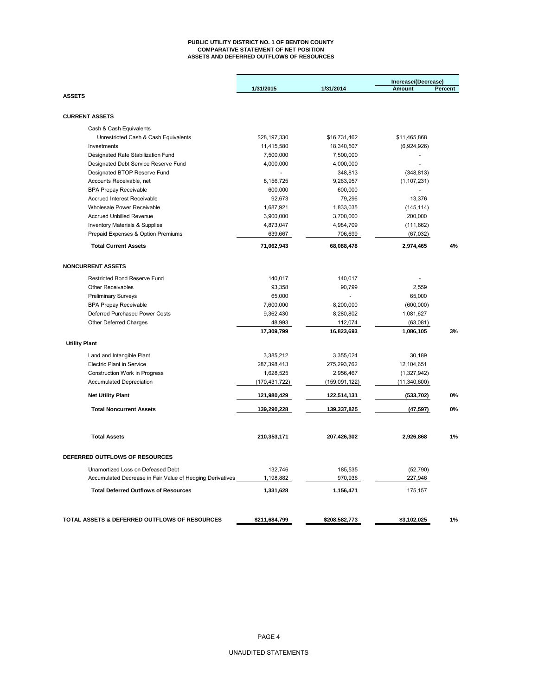#### **PUBLIC UTILITY DISTRICT NO. 1 OF BENTON COUNTY COMPARATIVE STATEMENT OF NET POSITION ASSETS AND DEFERRED OUTFLOWS OF RESOURCES**

|                                                           | 1/31/2015     | 1/31/2014     | Increase/(Decrease)<br>Percent<br><b>Amount</b> |    |  |  |  |  |
|-----------------------------------------------------------|---------------|---------------|-------------------------------------------------|----|--|--|--|--|
| <b>ASSETS</b>                                             |               |               |                                                 |    |  |  |  |  |
| <b>CURRENT ASSETS</b>                                     |               |               |                                                 |    |  |  |  |  |
| Cash & Cash Equivalents                                   |               |               |                                                 |    |  |  |  |  |
| Unrestricted Cash & Cash Equivalents                      | \$28,197,330  | \$16,731,462  | \$11,465,868                                    |    |  |  |  |  |
| Investments                                               | 11,415,580    | 18,340,507    | (6,924,926)                                     |    |  |  |  |  |
| Designated Rate Stabilization Fund                        | 7,500,000     | 7,500,000     | $\overline{a}$                                  |    |  |  |  |  |
| Designated Debt Service Reserve Fund                      | 4,000,000     | 4,000,000     | ÷,                                              |    |  |  |  |  |
| Designated BTOP Reserve Fund                              | $\Box$        | 348,813       | (348, 813)                                      |    |  |  |  |  |
| Accounts Receivable, net                                  | 8,156,725     | 9,263,957     | (1, 107, 231)                                   |    |  |  |  |  |
| <b>BPA Prepay Receivable</b>                              | 600,000       | 600,000       |                                                 |    |  |  |  |  |
| Accrued Interest Receivable                               | 92,673        | 79,296        | 13,376                                          |    |  |  |  |  |
| Wholesale Power Receivable                                | 1,687,921     | 1,833,035     | (145, 114)                                      |    |  |  |  |  |
| <b>Accrued Unbilled Revenue</b>                           | 3,900,000     | 3,700,000     | 200,000                                         |    |  |  |  |  |
| <b>Inventory Materials &amp; Supplies</b>                 | 4,873,047     | 4,984,709     | (111, 662)                                      |    |  |  |  |  |
| Prepaid Expenses & Option Premiums                        | 639,667       | 706,699       | (67, 032)                                       |    |  |  |  |  |
| <b>Total Current Assets</b>                               | 71,062,943    | 68,088,478    | 2,974,465                                       | 4% |  |  |  |  |
|                                                           |               |               |                                                 |    |  |  |  |  |
| <b>NONCURRENT ASSETS</b>                                  |               |               |                                                 |    |  |  |  |  |
| Restricted Bond Reserve Fund                              | 140,017       | 140,017       |                                                 |    |  |  |  |  |
| <b>Other Receivables</b>                                  | 93,358        | 90,799        | 2,559                                           |    |  |  |  |  |
| <b>Preliminary Surveys</b>                                | 65,000        |               | 65,000                                          |    |  |  |  |  |
| <b>BPA Prepay Receivable</b>                              | 7,600,000     | 8,200,000     | (600,000)                                       |    |  |  |  |  |
| Deferred Purchased Power Costs                            | 9,362,430     | 8,280,802     | 1,081,627                                       |    |  |  |  |  |
| Other Deferred Charges                                    | 48,993        | 112,074       | (63,081)                                        |    |  |  |  |  |
|                                                           | 17,309,799    | 16,823,693    | 1,086,105                                       | 3% |  |  |  |  |
| <b>Utility Plant</b>                                      |               |               |                                                 |    |  |  |  |  |
| Land and Intangible Plant                                 | 3,385,212     | 3,355,024     | 30,189                                          |    |  |  |  |  |
| <b>Electric Plant in Service</b>                          | 287,398,413   | 275,293,762   | 12,104,651                                      |    |  |  |  |  |
| Construction Work in Progress                             | 1,628,525     | 2,956,467     | (1,327,942)                                     |    |  |  |  |  |
| <b>Accumulated Depreciation</b>                           | (170,431,722) | (159,091,122) | (11,340,600)                                    |    |  |  |  |  |
| <b>Net Utility Plant</b>                                  | 121,980,429   | 122,514,131   | (533, 702)                                      | 0% |  |  |  |  |
| <b>Total Noncurrent Assets</b>                            | 139,290,228   | 139,337,825   | (47, 597)                                       | 0% |  |  |  |  |
| <b>Total Assets</b>                                       | 210,353,171   | 207,426,302   | 2,926,868                                       | 1% |  |  |  |  |
|                                                           |               |               |                                                 |    |  |  |  |  |
| DEFERRED OUTFLOWS OF RESOURCES                            |               |               |                                                 |    |  |  |  |  |
| Unamortized Loss on Defeased Debt                         | 132,746       | 185,535       | (52, 790)                                       |    |  |  |  |  |
| Accumulated Decrease in Fair Value of Hedging Derivatives | 1,198,882     | 970,936       | 227,946                                         |    |  |  |  |  |
| <b>Total Deferred Outflows of Resources</b>               | 1,331,628     | 1,156,471     | 175,157                                         |    |  |  |  |  |
|                                                           |               |               |                                                 |    |  |  |  |  |
| TOTAL ASSETS & DEFERRED OUTFLOWS OF RESOURCES             | \$211,684,799 | \$208,582,773 | \$3,102,025                                     | 1% |  |  |  |  |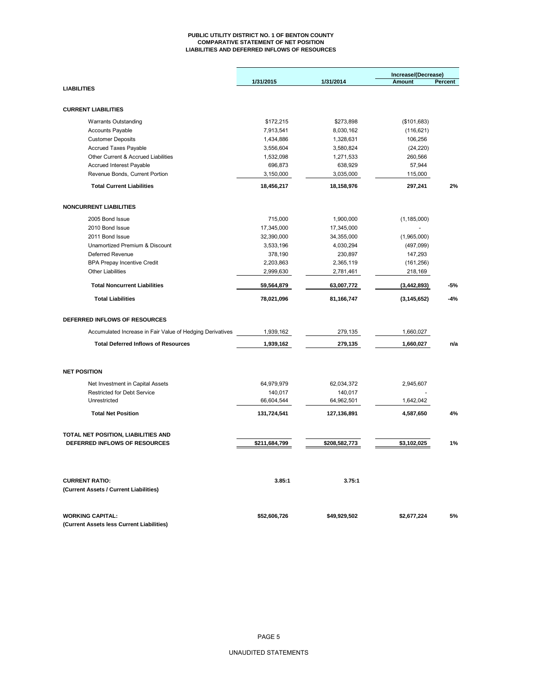#### **PUBLIC UTILITY DISTRICT NO. 1 OF BENTON COUNTY COMPARATIVE STATEMENT OF NET POSITION LIABILITIES AND DEFERRED INFLOWS OF RESOURCES**

|                                                                        |                       |                       | Increase/(Decrease) |         |  |  |
|------------------------------------------------------------------------|-----------------------|-----------------------|---------------------|---------|--|--|
|                                                                        | 1/31/2015             | 1/31/2014             | <b>Amount</b>       | Percent |  |  |
| <b>LIABILITIES</b>                                                     |                       |                       |                     |         |  |  |
|                                                                        |                       |                       |                     |         |  |  |
| <b>CURRENT LIABILITIES</b>                                             |                       |                       |                     |         |  |  |
| <b>Warrants Outstanding</b>                                            | \$172,215             | \$273,898             | (\$101,683)         |         |  |  |
| <b>Accounts Payable</b>                                                | 7,913,541             | 8,030,162             | (116, 621)          |         |  |  |
| <b>Customer Deposits</b>                                               | 1,434,886             | 1,328,631             | 106,256             |         |  |  |
| <b>Accrued Taxes Payable</b>                                           | 3,556,604             | 3,580,824             | (24, 220)           |         |  |  |
| Other Current & Accrued Liabilities                                    | 1,532,098             | 1,271,533             | 260,566             |         |  |  |
| <b>Accrued Interest Payable</b>                                        | 696,873               | 638,929               | 57,944              |         |  |  |
| Revenue Bonds, Current Portion                                         | 3,150,000             | 3,035,000             | 115,000             |         |  |  |
| <b>Total Current Liabilities</b>                                       | 18,456,217            | 18,158,976            | 297,241             | 2%      |  |  |
| <b>NONCURRENT LIABILITIES</b>                                          |                       |                       |                     |         |  |  |
| 2005 Bond Issue                                                        | 715,000               | 1,900,000             | (1, 185, 000)       |         |  |  |
| 2010 Bond Issue                                                        | 17,345,000            | 17,345,000            |                     |         |  |  |
| 2011 Bond Issue                                                        | 32,390,000            | 34,355,000            | (1,965,000)         |         |  |  |
| Unamortized Premium & Discount                                         | 3,533,196             | 4,030,294             |                     |         |  |  |
| Deferred Revenue                                                       |                       |                       | (497,099)           |         |  |  |
|                                                                        | 378,190               | 230,897               | 147,293             |         |  |  |
| <b>BPA Prepay Incentive Credit</b><br><b>Other Liabilities</b>         | 2,203,863             | 2,365,119             | (161, 256)          |         |  |  |
|                                                                        | 2,999,630             | 2,781,461             | 218,169             |         |  |  |
| <b>Total Noncurrent Liabilities</b>                                    | 59,564,879            | 63,007,772            | (3, 442, 893)       | $-5%$   |  |  |
| <b>Total Liabilities</b>                                               | 78,021,096            | 81,166,747            | (3, 145, 652)       | $-4%$   |  |  |
| DEFERRED INFLOWS OF RESOURCES                                          |                       |                       |                     |         |  |  |
| Accumulated Increase in Fair Value of Hedging Derivatives              | 1,939,162             | 279,135               | 1,660,027           |         |  |  |
| <b>Total Deferred Inflows of Resources</b>                             | 1,939,162             | 279,135               | 1,660,027           | n/a     |  |  |
| <b>NET POSITION</b>                                                    |                       |                       |                     |         |  |  |
|                                                                        |                       |                       |                     |         |  |  |
| Net Investment in Capital Assets<br><b>Restricted for Debt Service</b> | 64,979,979<br>140,017 | 62,034,372<br>140,017 | 2,945,607           |         |  |  |
| Unrestricted                                                           | 66,604,544            | 64,962,501            | 1,642,042           |         |  |  |
| <b>Total Net Position</b>                                              | 131,724,541           | 127,136,891           | 4,587,650           | 4%      |  |  |
|                                                                        |                       |                       |                     |         |  |  |
| TOTAL NET POSITION, LIABILITIES AND                                    |                       |                       |                     |         |  |  |
| DEFERRED INFLOWS OF RESOURCES                                          | \$211,684,799         | \$208,582,773         | \$3,102,025         | 1%      |  |  |
| <b>CURRENT RATIO:</b>                                                  | 3.85:1                | 3.75:1                |                     |         |  |  |
| (Current Assets / Current Liabilities)                                 |                       |                       |                     |         |  |  |
|                                                                        |                       |                       |                     |         |  |  |
| <b>WORKING CAPITAL:</b>                                                | \$52,606,726          | \$49,929,502          | \$2,677,224         | 5%      |  |  |
| (Current Assets less Current Liabilities)                              |                       |                       |                     |         |  |  |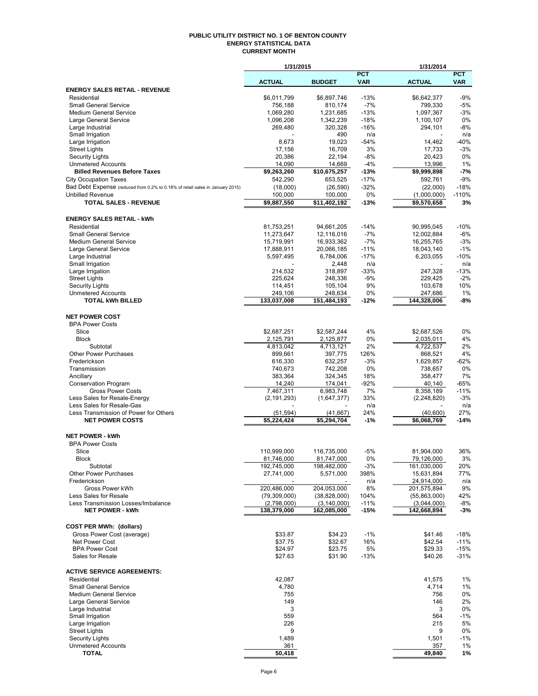#### **PUBLIC UTILITY DISTRICT NO. 1 OF BENTON COUNTY ENERGY STATISTICAL DATA CURRENT MONTH**

|                                                                               | 1/31/2015                  |                              |                | 1/31/2014                  |                 |
|-------------------------------------------------------------------------------|----------------------------|------------------------------|----------------|----------------------------|-----------------|
|                                                                               |                            |                              | <b>PCT</b>     |                            | <b>PCT</b>      |
| <b>ENERGY SALES RETAIL - REVENUE</b>                                          | <b>ACTUAL</b>              | <b>BUDGET</b>                | <b>VAR</b>     | <b>ACTUAL</b>              | <b>VAR</b>      |
| Residential                                                                   | \$6,011,799                | \$6,897,746                  | $-13%$         | \$6,642,377                | $-9%$           |
| <b>Small General Service</b>                                                  | 756,188                    | 810,174                      | $-7%$          | 799,330                    | $-5%$           |
| <b>Medium General Service</b>                                                 | 1,069,280                  | 1,231,685                    | $-13%$         | 1,097,367                  | $-3%$           |
| Large General Service                                                         | 1,096,208                  | 1,342,239                    | $-18%$         | 1,100,107                  | 0%              |
| Large Industrial                                                              | 269,480                    | 320,328                      | $-16%$         | 294,101                    | $-8%$<br>n/a    |
| Small Irrigation<br>Large Irrigation                                          | 8,673                      | 490<br>19,023                | n/a<br>$-54%$  | 14,462                     | $-40%$          |
| <b>Street Lights</b>                                                          | 17,156                     | 16,709                       | 3%             | 17,733                     | $-3%$           |
| Security Lights                                                               | 20,386                     | 22,194                       | $-8%$          | 20,423                     | 0%              |
| <b>Unmetered Accounts</b>                                                     | 14,090                     | 14,669                       | $-4%$          | 13,996                     | 1%              |
| <b>Billed Revenues Before Taxes</b>                                           | \$9,263,260                | \$10,675,257                 | $-13%$         | \$9,999,898                | $-7%$           |
| <b>City Occupation Taxes</b>                                                  | 542,290                    | 653,525                      | $-17%$         | 592,761                    | $-9%$           |
| Bad Debt Expense (reduced from 0.2% to 0.18% of retail sales in January 2015) | (18,000)                   | (26, 590)                    | $-32%$         | (22,000)                   | $-18%$          |
| <b>Unbilled Revenue</b><br><b>TOTAL SALES - REVENUE</b>                       | 100,000<br>\$9,887,550     | 100,000<br>\$11,402,192      | 0%<br>$-13%$   | (1,000,000)<br>\$9,570,658 | $-110%$<br>3%   |
|                                                                               |                            |                              |                |                            |                 |
| <b>ENERGY SALES RETAIL - kWh</b>                                              |                            |                              |                |                            |                 |
| Residential                                                                   | 81,753,251                 | 94,661,205                   | $-14%$         | 90,995,045                 | $-10%$          |
| <b>Small General Service</b>                                                  | 11,273,647                 | 12,116,016                   | $-7%$          | 12,002,884                 | $-6%$           |
| <b>Medium General Service</b>                                                 | 15,719,991                 | 16,933,362                   | $-7%$          | 16,255,765                 | $-3%$           |
| Large General Service                                                         | 17,888,911                 | 20,066,185                   | $-11%$         | 18,043,140                 | $-1%$           |
| Large Industrial                                                              | 5,597,495                  | 6,784,006                    | $-17%$         | 6,203,055                  | $-10%$          |
| Small Irrigation                                                              |                            | 2,448<br>318,897             | n/a<br>$-33%$  |                            | n/a<br>$-13%$   |
| Large Irrigation<br><b>Street Lights</b>                                      | 214,532<br>225,624         | 248,336                      | $-9%$          | 247,328<br>229,425         | $-2%$           |
| Security Lights                                                               | 114,451                    | 105,104                      | 9%             | 103,678                    | 10%             |
| <b>Unmetered Accounts</b>                                                     | 249,106                    | 248,634                      | 0%             | 247,686                    | 1%              |
| <b>TOTAL kWh BILLED</b>                                                       | 133,037,008                | 151,484,193                  | $-12%$         | 144,328,006                | -8%             |
|                                                                               |                            |                              |                |                            |                 |
| <b>NET POWER COST</b>                                                         |                            |                              |                |                            |                 |
| <b>BPA Power Costs</b><br>Slice                                               | \$2,687,251                | \$2,587,244                  | 4%             | \$2,687,526                | 0%              |
| <b>Block</b>                                                                  | 2,125,791                  | 2,125,877                    | 0%             | 2,035,011                  | 4%              |
| Subtotal                                                                      | 4,813,042                  | 4,713,121                    | 2%             | 4,722,537                  | 2%              |
| <b>Other Power Purchases</b>                                                  | 899,661                    | 397,775                      | 126%           | 868,521                    | 4%              |
| Frederickson                                                                  | 616,330                    | 632,257                      | $-3%$          | 1,629,857                  | $-62%$          |
| Transmission                                                                  | 740,673                    | 742,208                      | 0%             | 738,657                    | 0%              |
| Ancillary                                                                     | 383,364                    | 324,345                      | 18%            | 358,477                    | 7%              |
| <b>Conservation Program</b>                                                   | 14,240                     | 174,041                      | $-92%$         | 40,140                     | $-65%$          |
| <b>Gross Power Costs</b><br>Less Sales for Resale-Energy                      | 7,467,311<br>(2, 191, 293) | 6,983,748<br>(1,647,377)     | 7%<br>33%      | 8,358,189<br>(2,248,820)   | $-11%$<br>$-3%$ |
| Less Sales for Resale-Gas                                                     |                            |                              | n/a            |                            | n/a             |
| Less Transmission of Power for Others                                         | (51, 594)                  | (41, 667)                    | 24%            | (40, 600)                  | 27%             |
| <b>NET POWER COSTS</b>                                                        | \$5,224,424                | \$5,294,704                  | $-1%$          | \$6,068,769                | $-14%$          |
|                                                                               |                            |                              |                |                            |                 |
| <b>NET POWER - kWh</b>                                                        |                            |                              |                |                            |                 |
| <b>BPA Power Costs</b><br>Slice                                               | 110,999,000                | 116,735,000                  | $-5%$          | 81,904,000                 | 36%             |
| <b>Block</b>                                                                  | 81,746,000                 | 81,747,000                   | 0%             | 79,126,000                 | 3%              |
| Subtotal                                                                      | 192,745,000                | 198,482,000                  | $-3%$          | 161,030,000                | 20%             |
| <b>Other Power Purchases</b>                                                  | 27,741,000                 | 5,571,000                    | 398%           | 15,631,894                 | 77%             |
| Frederickson                                                                  |                            |                              | n/a            | 24,914,000                 | n/a             |
| Gross Power kWh                                                               | 220,486,000                | 204,053,000                  | 8%             | 201,575,894                | 9%              |
| Less Sales for Resale                                                         | (79,309,000)               | (38, 828, 000)               | 104%           | (55,863,000)               | 42%             |
| Less Transmission Losses/Imbalance<br><b>NET POWER - kWh</b>                  | (2,798,000)<br>138,379,000 | (3, 140, 000)<br>162,085,000 | $-11%$<br>-15% | (3,044,000)<br>142,668,894 | -8%<br>-3%      |
|                                                                               |                            |                              |                |                            |                 |
| <b>COST PER MWh: (dollars)</b>                                                |                            |                              |                |                            |                 |
| Gross Power Cost (average)                                                    | \$33.87                    | \$34.23                      | $-1%$          | \$41.46                    | $-18%$          |
| Net Power Cost                                                                | \$37.75                    | \$32.67                      | 16%            | \$42.54                    | $-11%$          |
| <b>BPA Power Cost</b>                                                         | \$24.97                    | \$23.75                      | 5%             | \$29.33                    | $-15%$          |
| Sales for Resale                                                              | \$27.63                    | \$31.90                      | $-13%$         | \$40.26                    | $-31%$          |
| <b>ACTIVE SERVICE AGREEMENTS:</b>                                             |                            |                              |                |                            |                 |
| Residential                                                                   | 42,087                     |                              |                | 41,575                     | 1%              |
| <b>Small General Service</b>                                                  | 4,780                      |                              |                | 4,714                      | 1%              |
| <b>Medium General Service</b>                                                 | 755                        |                              |                | 756                        | 0%              |
| Large General Service                                                         | 149                        |                              |                | 146                        | 2%              |
| Large Industrial                                                              | 3                          |                              |                | 3                          | 0%              |
| Small Irrigation<br>Large Irrigation                                          | 559<br>226                 |                              |                | 564<br>215                 | $-1%$<br>5%     |
| <b>Street Lights</b>                                                          | 9                          |                              |                | 9                          | 0%              |
| <b>Security Lights</b>                                                        | 1,489                      |                              |                | 1,501                      | $-1%$           |
| <b>Unmetered Accounts</b>                                                     | 361                        |                              |                | 357                        | 1%              |
| <b>TOTAL</b>                                                                  | 50,418                     |                              |                | 49,840                     | 1%              |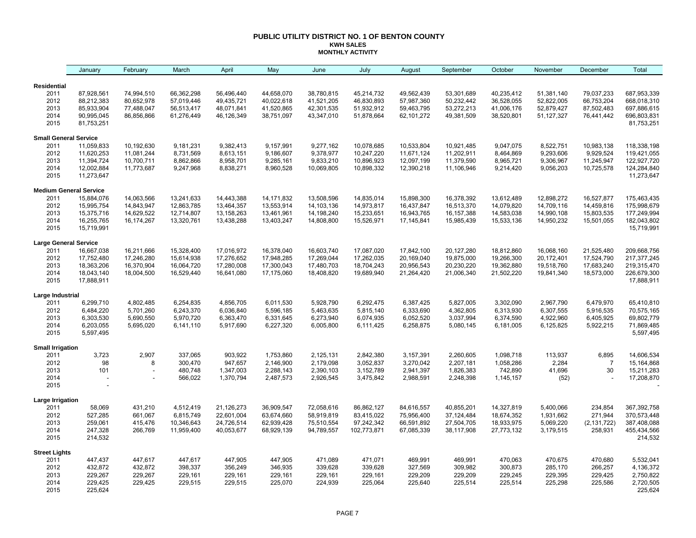#### **PUBLIC UTILITY DISTRICT NO. 1 OF BENTON COUNTY KWH SALES MONTHLY ACTIVITY**

|                              | January                       | February                 | March                    | April                    | May                      | June                     | July                     | August                   | September                | October                  | November                 | December                 | Total                      |
|------------------------------|-------------------------------|--------------------------|--------------------------|--------------------------|--------------------------|--------------------------|--------------------------|--------------------------|--------------------------|--------------------------|--------------------------|--------------------------|----------------------------|
| <b>Residential</b>           |                               |                          |                          |                          |                          |                          |                          |                          |                          |                          |                          |                          |                            |
| 2011                         | 87,928,561                    | 74,994,510               | 66,362,298               | 56,496,440               | 44,658,070               | 38,780,815               | 45,214,732               | 49,562,439               | 53,301,689               | 40,235,412               | 51,381,140               | 79,037,233               | 687,953,339                |
| 2012                         | 88,212,383                    | 80,652,978               | 57,019,446               | 49,435,721               | 40,022,618               | 41,521,205               | 46,830,893               | 57,987,360               | 50,232,442               | 36,528,055               | 52,822,005               | 66,753,204               | 668,018,310                |
| 2013                         | 85,933,904                    | 77,488,047               | 56,513,417               | 48,071,841               | 41,520,865               | 42,301,535               | 51,932,912               | 59,463,795               | 53,272,213               | 41,006,176               | 52,879,427               | 87,502,483               | 697,886,615                |
| 2014                         | 90,995,045                    | 86,856,866               | 61,276,449               | 46,126,349               | 38,751,097               | 43,347,010               | 51,878,664               | 62,101,272               | 49,381,509               | 38,520,801               | 51, 127, 327             | 76,441,442               | 696,803,831                |
| 2015                         | 81,753,251                    |                          |                          |                          |                          |                          |                          |                          |                          |                          |                          |                          | 81,753,251                 |
| <b>Small General Service</b> |                               |                          |                          |                          |                          |                          |                          |                          |                          |                          |                          |                          |                            |
| 2011                         | 11,059,833                    | 10,192,630               | 9,181,231                | 9,382,413                | 9,157,991                | 9,277,162                | 10,078,685               | 10,533,804               | 10,921,485               | 9,047,075                | 8,522,751                | 10,983,138               | 118,338,198                |
| 2012                         | 11,620,253                    | 11,081,244               | 8,731,569                | 8,613,151                | 9,186,607                | 9,378,977                | 10,247,220               | 11,671,124               | 11,202,911               | 8,464,869                | 9,293,606                | 9,929,524                | 119,421,055                |
| 2013                         | 11,394,724                    | 10,700,711               | 8,862,866                | 8,958,701                | 9,285,161                | 9,833,210                | 10,896,923               | 12,097,199               | 11,379,590               | 8,965,721                | 9,306,967                | 11,245,947               | 122,927,720                |
| 2014<br>2015                 | 12,002,884<br>11,273,647      | 11,773,687               | 9,247,968                | 8,838,271                | 8,960,528                | 10,069,805               | 10,898,332               | 12,390,218               | 11,106,946               | 9,214,420                | 9,056,203                | 10,725,578               | 124,284,840<br>11,273,647  |
|                              |                               |                          |                          |                          |                          |                          |                          |                          |                          |                          |                          |                          |                            |
|                              | <b>Medium General Service</b> |                          |                          |                          |                          |                          |                          |                          |                          |                          |                          |                          |                            |
| 2011                         | 15,884,076                    | 14,063,566               | 13,241,633               | 14,443,388               | 14, 171, 832             | 13,508,596               | 14,835,014               | 15,898,300               | 16,378,392               | 13,612,489               | 12,898,272               | 16,527,877               | 175,463,435<br>175,998,679 |
| 2012                         | 15,995,754                    | 14,843,947<br>14,629,522 | 12,863,785               | 13,464,357               | 13,553,914               | 14,103,136               | 14,973,817               | 16,437,847               | 16,513,370               | 14,079,820               | 14,709,116               | 14,459,816               |                            |
| 2013<br>2014                 | 15,375,716<br>16,255,765      | 16,174,267               | 12,714,807<br>13,320,761 | 13,158,263<br>13,438,288 | 13,461,961<br>13,403,247 | 14,198,240<br>14,808,800 | 15,233,651<br>15,526,971 | 16,943,765<br>17,145,841 | 16,157,388<br>15,985,439 | 14,583,038<br>15,533,136 | 14,990,108<br>14,950,232 | 15,803,535<br>15,501,055 | 177,249,994<br>182,043,802 |
| 2015                         | 15,719,991                    |                          |                          |                          |                          |                          |                          |                          |                          |                          |                          |                          | 15,719,991                 |
| <b>Large General Service</b> |                               |                          |                          |                          |                          |                          |                          |                          |                          |                          |                          |                          |                            |
| 2011                         | 16,667,038                    | 16,211,666               | 15,328,400               | 17,016,972               | 16,378,040               | 16,603,740               | 17,087,020               | 17,842,100               | 20,127,280               | 18,812,860               | 16,068,160               | 21,525,480               | 209,668,756                |
| 2012                         | 17,752,480                    | 17,246,280               | 15,614,938               | 17,276,652               | 17,948,285               | 17,269,044               | 17,262,035               | 20,169,040               | 19,875,000               | 19,266,300               | 20,172,401               | 17,524,790               | 217, 377, 245              |
| 2013                         | 18,363,206                    | 16,370,904               | 16,064,720               | 17,280,008               | 17,300,043               | 17,480,703               | 18,704,243               | 20,956,543               | 20,230,220               | 19,362,880               | 19,518,760               | 17,683,240               | 219,315,470                |
| 2014                         | 18,043,140                    | 18,004,500               | 16,529,440               | 16,641,080               | 17,175,060               | 18,408,820               | 19,689,940               | 21,264,420               | 21,006,340               | 21,502,220               | 19,841,340               | 18,573,000               | 226,679,300                |
| 2015                         | 17,888,911                    |                          |                          |                          |                          |                          |                          |                          |                          |                          |                          |                          | 17,888,911                 |
| Large Industrial             |                               |                          |                          |                          |                          |                          |                          |                          |                          |                          |                          |                          |                            |
| 2011                         | 6,299,710                     | 4,802,485                | 6,254,835                | 4,856,705                | 6,011,530                | 5,928,790                | 6,292,475                | 6,387,425                | 5,827,005                | 3,302,090                | 2,967,790                | 6,479,970                | 65,410,810                 |
| 2012                         | 6,484,220                     | 5,701,260                | 6,243,370                | 6,036,840                | 5,596,185                | 5,463,635                | 5,815,140                | 6,333,690                | 4,362,805                | 6,313,930                | 6,307,555                | 5,916,535                | 70,575,165                 |
| 2013                         | 6,303,530                     | 5,690,550                | 5,970,720                | 6,363,470                | 6,331,645                | 6,273,940                | 6,074,935                | 6,052,520                | 3,037,994                | 6,374,590                | 4,922,960                | 6,405,925                | 69,802,779                 |
| 2014                         | 6,203,055                     | 5,695,020                | 6,141,110                | 5,917,690                | 6,227,320                | 6,005,800                | 6,111,425                | 6,258,875                | 5,080,145                | 6,181,005                | 6,125,825                | 5,922,215                | 71,869,485                 |
| 2015                         | 5,597,495                     |                          |                          |                          |                          |                          |                          |                          |                          |                          |                          |                          | 5,597,495                  |
| <b>Small Irrigation</b>      |                               |                          |                          |                          |                          |                          |                          |                          |                          |                          |                          |                          |                            |
| 2011                         | 3,723                         | 2,907                    | 337,065                  | 903,922                  | 1,753,860                | 2,125,131                | 2,842,380                | 3,157,391                | 2,260,605                | 1,098,718                | 113,937                  | 6,895                    | 14,606,534                 |
| 2012                         | 98                            | 8                        | 300,470                  | 947,657                  | 2,146,900                | 2,179,098                | 3,052,837                | 3,270,042                | 2,207,181                | 1,058,286                | 2,284                    | $\overline{7}$           | 15,164,868                 |
| 2013<br>2014                 | 101                           | ٠                        | 480,748                  | 1,347,003                | 2,288,143                | 2,390,103                | 3,152,789                | 2,941,397                | 1,826,383                | 742,890                  | 41,696                   | 30                       | 15,211,283                 |
| 2015                         |                               |                          | 566,022                  | 1,370,794                | 2,487,573                | 2,926,545                | 3,475,842                | 2,988,591                | 2,248,398                | 1,145,157                | (52)                     |                          | 17,208,870                 |
| Large Irrigation             |                               |                          |                          |                          |                          |                          |                          |                          |                          |                          |                          |                          |                            |
| 2011                         | 58,069                        | 431,210                  | 4,512,419                | 21,126,273               | 36,909,547               | 72,058,616               | 86,862,127               | 84,616,557               | 40,855,201               | 14,327,819               | 5,400,066                | 234,854                  | 367,392,758                |
| 2012                         | 527,285                       | 661,067                  | 6,815,749                | 22,601,004               | 63,674,660               | 58,919,819               | 83,415,022               | 75,956,400               | 37,124,484               | 18,674,352               | 1,931,662                | 271,944                  | 370,573,448                |
| 2013                         | 259,061                       | 415,476                  | 10,346,643               | 24,726,514               | 62,939,428               | 75,510,554               | 97,242,342               | 66,591,892               | 27,504,705               | 18,933,975               | 5,069,220                | (2, 131, 722)            | 387,408,088                |
| 2014                         | 247,328                       | 266,769                  | 11,959,400               | 40,053,677               | 68,929,139               | 94,789,557               | 102,773,871              | 67,085,339               | 38,117,908               | 27,773,132               | 3,179,515                | 258,931                  | 455,434,566                |
| 2015                         | 214,532                       |                          |                          |                          |                          |                          |                          |                          |                          |                          |                          |                          | 214,532                    |
| <b>Street Lights</b>         |                               |                          |                          |                          |                          |                          |                          |                          |                          |                          |                          |                          |                            |
| 2011                         | 447,437                       | 447,617                  | 447,617                  | 447,905                  | 447,905                  | 471,089                  | 471,071                  | 469,991                  | 469,991                  | 470,063                  | 470,675                  | 470,680                  | 5,532,041                  |
| 2012                         | 432,872                       | 432,872                  | 398,337                  | 356,249                  | 346,935                  | 339,628                  | 339,628                  | 327,569                  | 309,982                  | 300,873                  | 285,170                  | 266,257                  | 4,136,372                  |
| 2013                         | 229,267                       | 229,267                  | 229,161                  | 229,161                  | 229,161                  | 229,161                  | 229,161                  | 229,209                  | 229,209                  | 229,245                  | 229,395                  | 229,425                  | 2,750,822                  |
| 2014                         | 229,425                       | 229,425                  | 229,515                  | 229,515                  | 225,070                  | 224,939                  | 225,064                  | 225,640                  | 225,514                  | 225,514                  | 225,298                  | 225,586                  | 2,720,505                  |
| 2015                         | 225,624                       |                          |                          |                          |                          |                          |                          |                          |                          |                          |                          |                          | 225,624                    |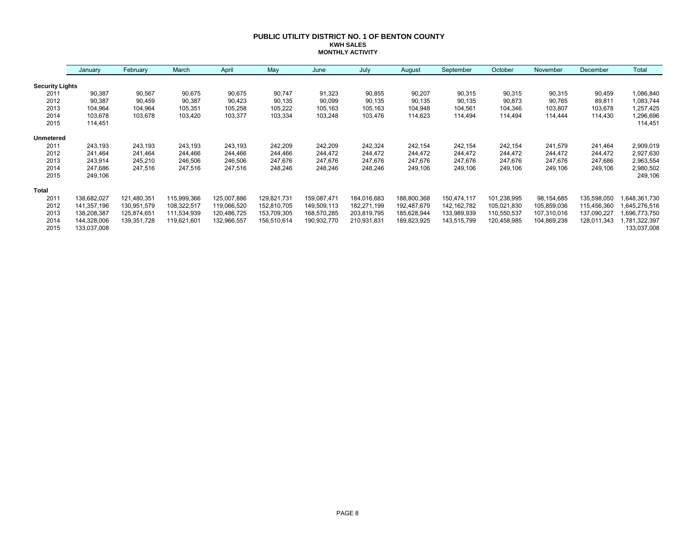#### **PUBLIC UTILITY DISTRICT NO. 1 OF BENTON COUNTY KWH SALES MONTHLY ACTIVITY**

|                        | January     | February    | March       | April       | May         | June        | July        | August      | September     | October     | November    | December    | Total        |
|------------------------|-------------|-------------|-------------|-------------|-------------|-------------|-------------|-------------|---------------|-------------|-------------|-------------|--------------|
| <b>Security Lights</b> |             |             |             |             |             |             |             |             |               |             |             |             |              |
| 2011                   | 90,387      | 90,567      | 90,675      | 90,675      | 90,747      | 91,323      | 90,855      | 90,207      | 90,315        | 90,315      | 90,315      | 90,459      | 1,086,840    |
| 2012                   | 90,387      | 90,459      | 90,387      | 90,423      | 90,135      | 90,099      | 90,135      | 90,135      | 90,135        | 90,873      | 90,765      | 89,811      | 1,083,744    |
| 2013                   | 104,964     | 104,964     | 105,351     | 105,258     | 105,222     | 105,163     | 105,163     | 104,948     | 104,561       | 104,346     | 103,807     | 103,678     | 1,257,425    |
| 2014                   | 103,678     | 103,678     | 103,420     | 103,377     | 103,334     | 103,248     | 103,476     | 114,623     | 114,494       | 114,494     | 114.444     | 114,430     | 296,696,     |
| 2015                   | 114,451     |             |             |             |             |             |             |             |               |             |             |             | 114,451      |
| <b>Unmetered</b>       |             |             |             |             |             |             |             |             |               |             |             |             |              |
| 2011                   | 243,193     | 243,193     | 243,193     | 243,193     | 242,209     | 242,209     | 242,324     | 242,154     | 242,154       | 242,154     | 241,579     | 241,464     | 2,909,019    |
| 2012                   | 241,464     | 241,464     | 244,466     | 244,466     | 244,466     | 244,472     | 244,472     | 244.472     | 244,472       | 244,472     | 244,472     | 244,472     | 2,927,630    |
| 2013                   | 243,914     | 245,210     | 246,506     | 246,506     | 247,676     | 247,676     | 247,676     | 247,676     | 247,676       | 247,676     | 247,676     | 247,686     | 2,963,554    |
| 2014                   | 247,686     | 247,516     | 247,516     | 247,516     | 248,246     | 248,246     | 248,246     | 249,106     | 249,106       | 249,106     | 249,106     | 249,106     | 2,980,502    |
| 2015                   | 249,106     |             |             |             |             |             |             |             |               |             |             |             | 249,106      |
| <b>Total</b>           |             |             |             |             |             |             |             |             |               |             |             |             |              |
| 201'                   | 138,682,027 | 121,480,351 | 115,999,366 | 125,007,886 | 129,821,731 | 159,087,471 | 184,016,683 | 188,800,368 | 150,474,117   | 101,238,995 | 98,154,685  | 135,598,050 | 648,361,730  |
| 2012                   | 141,357,196 | 130,951,579 | 108,322,517 | 119,066,520 | 152,810,705 | 149,509,113 | 182,271,199 | 192,487,679 | 142, 162, 782 | 105,021,830 | 105,859,036 | 115,456,360 | 645,276,516, |
| 2013                   | 138,208,387 | 125,874,651 | 111,534,939 | 120,486,725 | 153,709,305 | 168,570,285 | 203,819,795 | 185,628,944 | 133,989,939   | 110,550,537 | 107,310,016 | 137,090,227 | 696,773,750, |
| 2014                   | 144,328,006 | 139,351,728 | 119,621,601 | 132,966,557 | 156,510,614 | 190,932,770 | 210,931,831 | 189,823,925 | 143,515,799   | 120,458,985 | 104,869,238 | 128,011,343 | ,781,322,397 |
| 2015                   | 133,037,008 |             |             |             |             |             |             |             |               |             |             |             | 133,037,008  |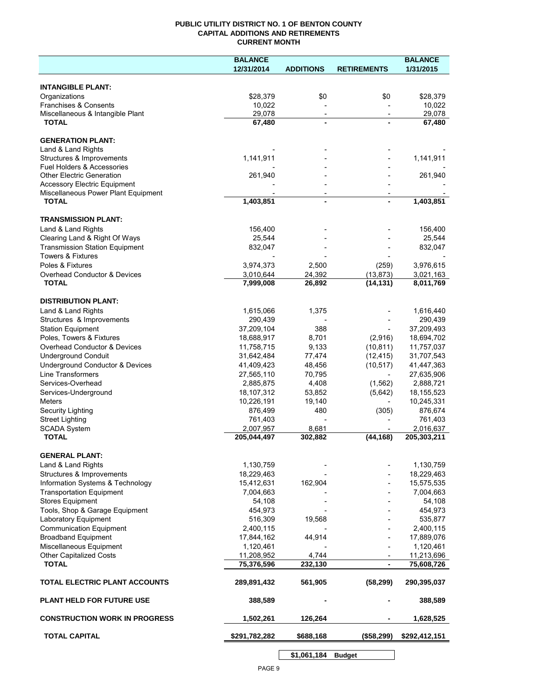#### **PUBLIC UTILITY DISTRICT NO. 1 OF BENTON COUNTY CAPITAL ADDITIONS AND RETIREMENTS CURRENT MONTH**

|                                                     | <b>BALANCE</b>           |                                            |                          | <b>BALANCE</b>           |
|-----------------------------------------------------|--------------------------|--------------------------------------------|--------------------------|--------------------------|
|                                                     | 12/31/2014               | <b>ADDITIONS</b>                           | <b>RETIREMENTS</b>       | 1/31/2015                |
| <b>INTANGIBLE PLANT:</b>                            |                          |                                            |                          |                          |
| Organizations                                       | \$28,379                 | \$0                                        | \$0                      | \$28,379                 |
| Franchises & Consents                               | 10,022                   |                                            |                          | 10,022                   |
| Miscellaneous & Intangible Plant                    | 29,078                   | $\overline{\phantom{a}}$                   | $\overline{\phantom{a}}$ | 29,078                   |
| <b>TOTAL</b>                                        | 67,480                   | $\blacksquare$                             |                          | 67,480                   |
| <b>GENERATION PLANT:</b>                            |                          |                                            |                          |                          |
| Land & Land Rights                                  |                          |                                            |                          |                          |
| Structures & Improvements                           | 1,141,911                |                                            |                          | 1,141,911                |
| Fuel Holders & Accessories                          |                          |                                            |                          |                          |
| <b>Other Electric Generation</b>                    | 261,940                  |                                            |                          | 261,940                  |
| <b>Accessory Electric Equipment</b>                 |                          |                                            |                          |                          |
| Miscellaneous Power Plant Equipment<br><b>TOTAL</b> | 1,403,851                | $\overline{\phantom{0}}$<br>$\blacksquare$ |                          | 1,403,851                |
|                                                     |                          |                                            |                          |                          |
| <b>TRANSMISSION PLANT:</b>                          |                          |                                            |                          |                          |
| Land & Land Rights                                  | 156,400                  |                                            |                          | 156,400                  |
| Clearing Land & Right Of Ways                       | 25,544                   |                                            |                          | 25,544                   |
| <b>Transmission Station Equipment</b>               | 832,047                  |                                            |                          | 832,047                  |
| <b>Towers &amp; Fixtures</b>                        |                          |                                            |                          |                          |
| Poles & Fixtures                                    | 3,974,373                | 2,500                                      | (259)                    | 3,976,615                |
| Overhead Conductor & Devices                        | 3,010,644                | 24,392                                     | (13, 873)                | 3,021,163                |
| <b>TOTAL</b>                                        | 7,999,008                | 26,892                                     | (14, 131)                | 8,011,769                |
| <b>DISTRIBUTION PLANT:</b>                          |                          |                                            |                          |                          |
| Land & Land Rights                                  | 1,615,066                | 1,375                                      |                          | 1,616,440                |
| Structures & Improvements                           | 290,439                  |                                            |                          | 290,439                  |
| <b>Station Equipment</b>                            | 37,209,104               | 388                                        |                          | 37,209,493               |
| Poles, Towers & Fixtures                            | 18,688,917               | 8,701                                      | (2,916)                  | 18,694,702               |
| Overhead Conductor & Devices                        | 11,758,715               | 9,133                                      | (10, 811)                | 11,757,037               |
| <b>Underground Conduit</b>                          | 31,642,484               | 77,474                                     | (12, 415)                | 31,707,543               |
| Underground Conductor & Devices                     | 41,409,423               | 48,456                                     | (10, 517)                | 41,447,363               |
| Line Transformers                                   | 27,565,110               | 70,795                                     |                          | 27,635,906               |
| Services-Overhead                                   | 2,885,875                | 4,408                                      | (1, 562)                 | 2,888,721                |
| Services-Underground                                | 18,107,312               | 53,852                                     | (5,642)                  | 18, 155, 523             |
| Meters                                              | 10,226,191               | 19,140                                     |                          | 10,245,331               |
| Security Lighting                                   | 876,499                  | 480                                        | (305)                    | 876,674                  |
| <b>Street Lighting</b>                              | 761,403                  | 8,681                                      |                          | 761,403                  |
| SCADA System<br><b>TOTAL</b>                        | 2,007,957<br>205,044,497 | 302,882                                    | (44, 168)                | 2,016,637<br>205,303,211 |
|                                                     |                          |                                            |                          |                          |
| <b>GENERAL PLANT:</b>                               |                          |                                            |                          |                          |
| Land & Land Rights                                  | 1,130,759                |                                            |                          | 1,130,759                |
| Structures & Improvements                           | 18,229,463<br>15,412,631 |                                            |                          | 18,229,463               |
| Information Systems & Technology                    |                          | 162,904                                    |                          | 15,575,535<br>7,004,663  |
| <b>Transportation Equipment</b><br>Stores Equipment | 7,004,663<br>54,108      |                                            |                          | 54,108                   |
| Tools, Shop & Garage Equipment                      | 454,973                  |                                            |                          | 454,973                  |
| Laboratory Equipment                                | 516,309                  | 19,568                                     |                          | 535,877                  |
| <b>Communication Equipment</b>                      | 2,400,115                |                                            |                          | 2,400,115                |
| <b>Broadband Equipment</b>                          | 17,844,162               | 44,914                                     |                          | 17,889,076               |
| Miscellaneous Equipment                             | 1,120,461                |                                            |                          | 1,120,461                |
| <b>Other Capitalized Costs</b>                      | 11,208,952               | 4,744                                      |                          | 11,213,696               |
| <b>TOTAL</b>                                        | 75,376,596               | 232,130                                    | $\blacksquare$           | 75,608,726               |
| TOTAL ELECTRIC PLANT ACCOUNTS                       | 289,891,432              | 561,905                                    | (58, 299)                | 290,395,037              |
| <b>PLANT HELD FOR FUTURE USE</b>                    | 388,589                  |                                            |                          | 388,589                  |
| <b>CONSTRUCTION WORK IN PROGRESS</b>                | 1,502,261                | 126,264                                    |                          | 1,628,525                |
| <b>TOTAL CAPITAL</b>                                | \$291,782,282            | \$688,168                                  | (\$58,299)               | \$292,412,151            |
|                                                     |                          |                                            |                          |                          |

**\$1,061,184 Budget**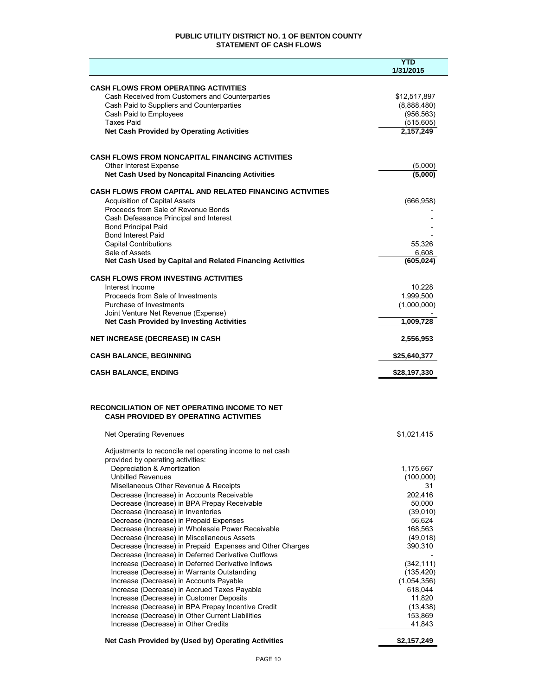#### **PUBLIC UTILITY DISTRICT NO. 1 OF BENTON COUNTY STATEMENT OF CASH FLOWS**

|                                                                                              | <b>YTD</b>                |
|----------------------------------------------------------------------------------------------|---------------------------|
|                                                                                              | 1/31/2015                 |
| <b>CASH FLOWS FROM OPERATING ACTIVITIES</b>                                                  |                           |
| Cash Received from Customers and Counterparties                                              | \$12,517,897              |
| Cash Paid to Suppliers and Counterparties<br>Cash Paid to Employees                          | (8,888,480)<br>(956, 563) |
| <b>Taxes Paid</b>                                                                            | (515, 605)                |
| <b>Net Cash Provided by Operating Activities</b>                                             | 2,157,249                 |
|                                                                                              |                           |
| <b>CASH FLOWS FROM NONCAPITAL FINANCING ACTIVITIES</b>                                       |                           |
| Other Interest Expense                                                                       | (5,000)                   |
| Net Cash Used by Noncapital Financing Activities                                             | (5,000)                   |
| <b>CASH FLOWS FROM CAPITAL AND RELATED FINANCING ACTIVITIES</b>                              |                           |
| <b>Acquisition of Capital Assets</b>                                                         | (666, 958)                |
| Proceeds from Sale of Revenue Bonds                                                          |                           |
| Cash Defeasance Principal and Interest                                                       |                           |
| <b>Bond Principal Paid</b><br><b>Bond Interest Paid</b>                                      |                           |
| <b>Capital Contributions</b>                                                                 | 55,326                    |
| Sale of Assets                                                                               | 6,608                     |
| Net Cash Used by Capital and Related Financing Activities                                    | (605, 024)                |
| <b>CASH FLOWS FROM INVESTING ACTIVITIES</b>                                                  |                           |
| Interest Income                                                                              | 10,228                    |
| Proceeds from Sale of Investments                                                            | 1,999,500                 |
| Purchase of Investments<br>Joint Venture Net Revenue (Expense)                               | (1,000,000)               |
| <b>Net Cash Provided by Investing Activities</b>                                             | 1,009,728                 |
| <b>NET INCREASE (DECREASE) IN CASH</b>                                                       | 2,556,953                 |
|                                                                                              |                           |
| <b>CASH BALANCE, BEGINNING</b>                                                               | \$25,640,377              |
| <b>CASH BALANCE, ENDING</b>                                                                  | \$28,197,330              |
|                                                                                              |                           |
| <b>RECONCILIATION OF NET OPERATING INCOME TO NET</b>                                         |                           |
| <b>CASH PROVIDED BY OPERATING ACTIVITIES</b>                                                 |                           |
|                                                                                              |                           |
| <b>Net Operating Revenues</b>                                                                | \$1,021,415               |
| Adjustments to reconcile net operating income to net cash                                    |                           |
| provided by operating activities:                                                            |                           |
| Depreciation & Amortization<br><b>Unbilled Revenues</b>                                      | 1,175,667<br>(100,000)    |
| Misellaneous Other Revenue & Receipts                                                        | 31                        |
| Decrease (Increase) in Accounts Receivable                                                   | 202.416                   |
| Decrease (Increase) in BPA Prepay Receivable                                                 | 50,000                    |
| Decrease (Increase) in Inventories                                                           | (39,010)                  |
| Decrease (Increase) in Prepaid Expenses<br>Decrease (Increase) in Wholesale Power Receivable | 56,624<br>168,563         |
| Decrease (Increase) in Miscellaneous Assets                                                  | (49,018)                  |
| Decrease (Increase) in Prepaid Expenses and Other Charges                                    | 390,310                   |
| Decrease (Increase) in Deferred Derivative Outflows                                          |                           |
| Increase (Decrease) in Deferred Derivative Inflows                                           | (342, 111)                |
| Increase (Decrease) in Warrants Outstanding                                                  | (135, 420)                |
| Increase (Decrease) in Accounts Payable<br>Increase (Decrease) in Accrued Taxes Payable      | (1,054,356)<br>618,044    |
| Increase (Decrease) in Customer Deposits                                                     | 11,820                    |
| Increase (Decrease) in BPA Prepay Incentive Credit                                           | (13, 438)                 |
| Increase (Decrease) in Other Current Liabilities                                             | 153,869                   |
| Increase (Decrease) in Other Credits                                                         | 41,843                    |
| Net Cash Provided by (Used by) Operating Activities                                          | \$2,157,249               |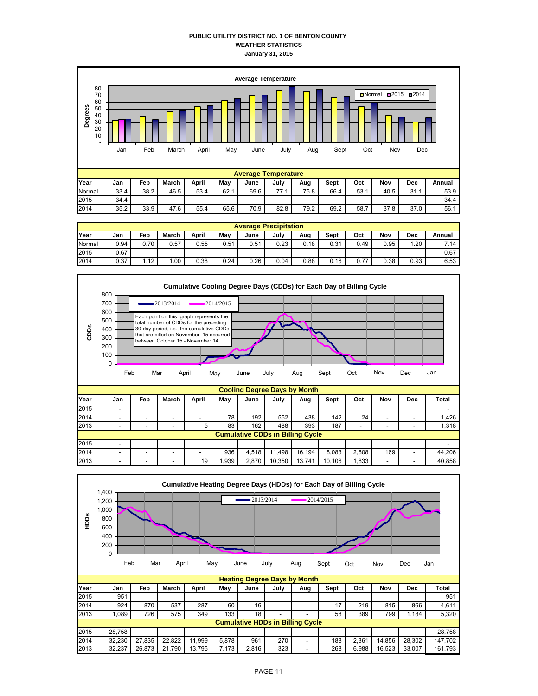#### **PUBLIC UTILITY DISTRICT NO. 1 OF BENTON COUNTY WEATHER STATISTICS January 31, 2015**



|        | <b>Average Precipitation</b> |      |              |       |      |      |      |      |      |      |      |      |        |
|--------|------------------------------|------|--------------|-------|------|------|------|------|------|------|------|------|--------|
| Year   | Jan                          | Feb  | <b>March</b> | April | Mav  | June | July | Aug  | Sept | Oct  | Nov  | Dec  | Annual |
| Normal | 0.94                         | 0.70 | 0.57         | 0.55  | 0.51 | 0.51 | 0.23 | 0.18 | 0.31 | 0.49 | 0.95 | 1.20 | 7.14   |
| 2015   | 0.67                         |      |              |       |      |      |      |      |      |      |      |      | 0.67   |
| 2014   | 0.37                         | 1.12 | .00          | 0.38  | 0.24 | 0.26 | 0.04 | 0.88 | 0.16 | 0.77 | 0.38 | 0.93 | 6.53   |

2014 35.2 33.9 47.6 55.4 65.6 70.9 82.8 79.2 69.2 58.7 37.8 37.0 56.1



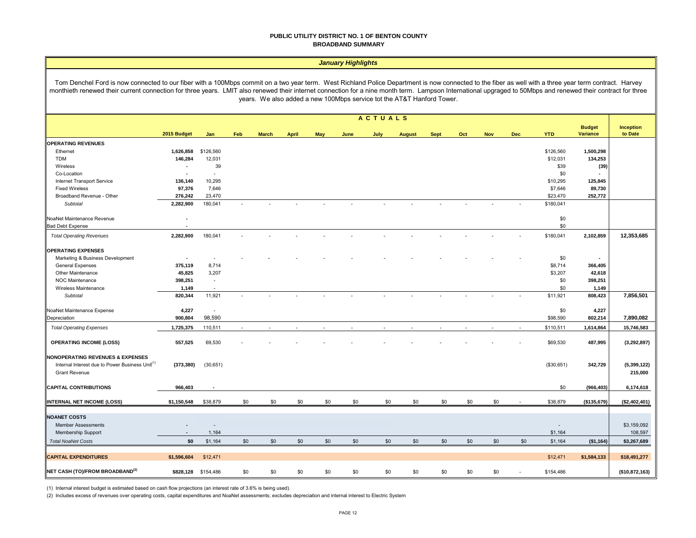#### **PUBLIC UTILITY DISTRICT NO. 1 OF BENTON COUNTY BROADBAND SUMMARY**

#### *January Highlights*

Tom Denchel Ford is now connected to our fiber with a 100Mbps commit on a two year term. West Richland Police Department is now connected to the fiber as well with a three year term contract. Harvey monthieth renewed their current connection for three years. LMIT also renewed their internet connection for a nine month term. Lampson International upgraged to 50Mbps and renewed their contract for three years. We also added a new 100Mbps service tot the AT&T Hanford Tower.

|                                                                                                                                    | <b>ACTUALS</b> |                          |                          |              |              |            |      |      |               |             |     |            |            |                          |                                  |                        |
|------------------------------------------------------------------------------------------------------------------------------------|----------------|--------------------------|--------------------------|--------------|--------------|------------|------|------|---------------|-------------|-----|------------|------------|--------------------------|----------------------------------|------------------------|
|                                                                                                                                    | 2015 Budget    | Jan                      | Feb                      | <b>March</b> | <b>April</b> | <b>May</b> | June | July | <b>August</b> | <b>Sept</b> | Oct | <b>Nov</b> | <b>Dec</b> | <b>YTD</b>               | <b>Budget</b><br><b>Variance</b> | Inception<br>to Date   |
| <b>OPERATING REVENUES</b>                                                                                                          |                |                          |                          |              |              |            |      |      |               |             |     |            |            |                          |                                  |                        |
| Ethernet                                                                                                                           | 1,626,858      | \$126,560                |                          |              |              |            |      |      |               |             |     |            |            | \$126,560                | 1,500,298                        |                        |
| <b>TDM</b>                                                                                                                         | 146,284        | 12,031                   |                          |              |              |            |      |      |               |             |     |            |            | \$12,031                 | 134,253                          |                        |
| Wireless                                                                                                                           | $\blacksquare$ | 39                       |                          |              |              |            |      |      |               |             |     |            |            | \$39                     | (39)                             |                        |
| Co-Location                                                                                                                        | $\blacksquare$ | $\sim$                   |                          |              |              |            |      |      |               |             |     |            |            | \$0                      |                                  |                        |
| Internet Transport Service                                                                                                         | 136,140        | 10,295                   |                          |              |              |            |      |      |               |             |     |            |            | \$10,295                 | 125,845                          |                        |
| <b>Fixed Wireless</b>                                                                                                              | 97,376         | 7,646                    |                          |              |              |            |      |      |               |             |     |            |            | \$7,646                  | 89,730                           |                        |
| Broadband Revenue - Other                                                                                                          | 276,242        | 23,470                   |                          |              |              |            |      |      |               |             |     |            |            | \$23,470                 | 252,772                          |                        |
| Subtotal                                                                                                                           | 2,282,900      | 180,041                  |                          |              |              |            |      |      |               |             |     |            |            | \$180,041                |                                  |                        |
| NoaNet Maintenance Revenue                                                                                                         | $\blacksquare$ |                          |                          |              |              |            |      |      |               |             |     |            |            | \$0                      |                                  |                        |
| <b>Bad Debt Expense</b>                                                                                                            | ÷,             |                          |                          |              |              |            |      |      |               |             |     |            |            | \$0                      |                                  |                        |
| <b>Total Operating Revenues</b>                                                                                                    | 2,282,900      | 180,041                  |                          |              |              |            |      |      |               |             |     |            |            | \$180,041                | 2,102,859                        | 12,353,685             |
| <b>OPERATING EXPENSES</b>                                                                                                          |                |                          |                          |              |              |            |      |      |               |             |     |            |            |                          |                                  |                        |
| Marketing & Business Development                                                                                                   | $\blacksquare$ |                          |                          |              |              |            |      |      |               |             |     |            |            | \$0                      | $\blacksquare$                   |                        |
| <b>General Expenses</b>                                                                                                            | 375,119        | 8,714                    |                          |              |              |            |      |      |               |             |     |            |            | \$8,714                  | 366,405                          |                        |
| Other Maintenance                                                                                                                  | 45,825         | 3,207                    |                          |              |              |            |      |      |               |             |     |            |            | \$3,207                  | 42,618                           |                        |
| <b>NOC Maintenance</b>                                                                                                             | 398,251        | $\sim$                   |                          |              |              |            |      |      |               |             |     |            |            | \$0                      | 398,251                          |                        |
| Wireless Maintenance                                                                                                               | 1,149          | $\overline{\phantom{a}}$ |                          |              |              |            |      |      |               |             |     |            |            | \$0                      | 1,149                            |                        |
| Subtotal                                                                                                                           | 820,344        | 11,921                   |                          |              |              |            |      |      |               |             |     |            |            | \$11,921                 | 808,423                          | 7,856,501              |
| NoaNet Maintenance Expense                                                                                                         | 4,227          |                          |                          |              |              |            |      |      |               |             |     |            |            | \$0                      | 4,227                            |                        |
| Depreciation                                                                                                                       | 900,804        | 98,590                   |                          |              |              |            |      |      |               |             |     |            |            | \$98,590                 | 802,214                          | 7,890,082              |
| <b>Total Operating Expenses</b>                                                                                                    | 1,725,375      | 110,511                  | $\overline{\phantom{a}}$ |              |              |            |      |      |               |             |     |            | $\sim$     | \$110,511                | 1,614,864                        | 15,746,583             |
| <b>OPERATING INCOME (LOSS)</b>                                                                                                     | 557,525        | 69,530                   |                          |              |              |            |      |      |               |             |     |            |            | \$69,530                 | 487,995                          | (3, 292, 897)          |
| <b>NONOPERATING REVENUES &amp; EXPENSES</b><br>Internal Interest due to Power Business Unit <sup>(1)</sup><br><b>Grant Revenue</b> | (373, 380)     | (30, 651)                |                          |              |              |            |      |      |               |             |     |            |            | (\$30,651)               | 342,729                          | (5,399,122)<br>215,000 |
| <b>CAPITAL CONTRIBUTIONS</b>                                                                                                       | 966,403        |                          |                          |              |              |            |      |      |               |             |     |            |            | \$0                      | (966, 403)                       | 6,174,618              |
| INTERNAL NET INCOME (LOSS)                                                                                                         | \$1,150,548    | \$38,879                 | \$0                      | \$0          | \$0          | \$0        | \$0  | \$0  | \$0           | \$0         | \$0 | \$0        |            | \$38,879                 | (\$135,679)                      | (\$2,402,401)          |
|                                                                                                                                    |                |                          |                          |              |              |            |      |      |               |             |     |            |            |                          |                                  |                        |
| <b>NOANET COSTS</b>                                                                                                                |                |                          |                          |              |              |            |      |      |               |             |     |            |            |                          |                                  |                        |
| <b>Member Assessments</b>                                                                                                          |                |                          |                          |              |              |            |      |      |               |             |     |            |            | $\overline{\phantom{a}}$ |                                  | \$3,159,092            |
| Membership Support                                                                                                                 |                | 1,164                    |                          |              |              |            |      |      |               |             |     |            |            | \$1,164                  |                                  | 108,597                |
| <b>Total NoaNet Costs</b>                                                                                                          | \$0            | \$1,164                  | \$0                      | \$0          | \$0          | \$0        | \$0  | \$0  | \$0           | \$0         | \$0 | \$0        | \$0        | \$1,164                  | (\$1,164)                        | \$3,267,689            |
|                                                                                                                                    |                |                          |                          |              |              |            |      |      |               |             |     |            |            |                          |                                  |                        |
| <b>CAPITAL EXPENDITURES</b>                                                                                                        | \$1,596,604    | \$12,471                 |                          |              |              |            |      |      |               |             |     |            |            | \$12,471                 | \$1,584,133                      | \$18,491,277           |
| NET CASH (TO)/FROM BROADBAND <sup>(2)</sup>                                                                                        |                | \$828,128 \$154,486      | \$0                      | \$0          | \$0          | \$0        | \$0  | \$0  | \$0           | \$0         | \$0 | \$0        |            | \$154,486                |                                  | (\$10,872,163)         |

(1) Internal interest budget is estimated based on cash flow projections (an interest rate of 3.6% is being used).

(2) Includes excess of revenues over operating costs, capital expenditures and NoaNet assessments; excludes depreciation and internal interest to Electric System